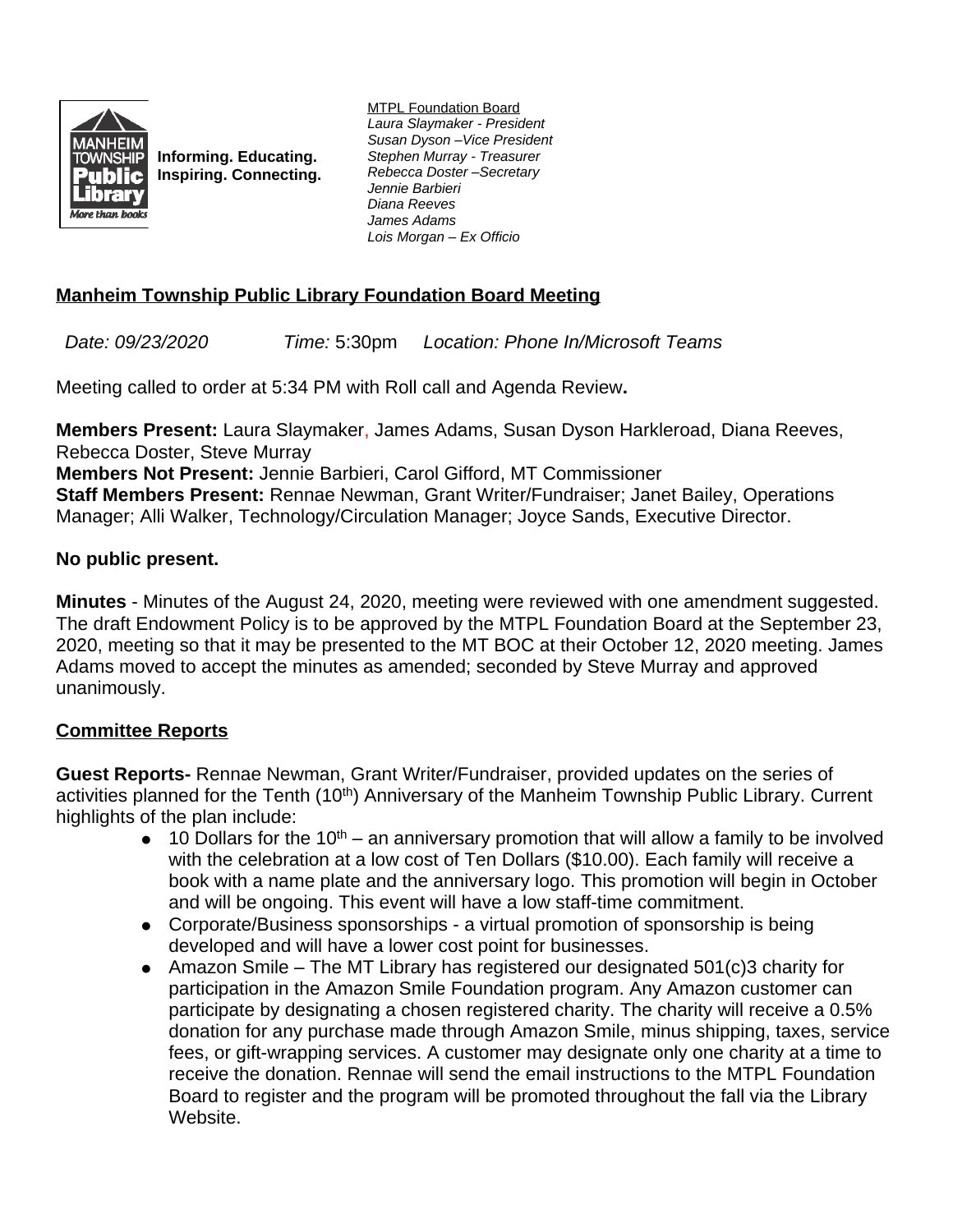

**Informing. Educating. Inspiring. Connecting.** MTPL Foundation Board *Laura Slaymaker - President Susan Dyson –Vice President Stephen Murray - Treasurer Rebecca Doster –Secretary Jennie Barbieri Diana Reeves James Adams Lois Morgan – Ex Officio*

## **Manheim Township Public Library Foundation Board Meeting**

*Date: 09/23/2020 Time:* 5:30pm *Location: Phone In/Microsoft Teams*

Meeting called to order at 5:34 PM with Roll call and Agenda Review**.**

**Members Present:** Laura Slaymaker, James Adams, Susan Dyson Harkleroad, Diana Reeves, Rebecca Doster, Steve Murray

**Members Not Present:** Jennie Barbieri, Carol Gifford, MT Commissioner **Staff Members Present:** Rennae Newman, Grant Writer/Fundraiser; Janet Bailey, Operations Manager; Alli Walker, Technology/Circulation Manager; Joyce Sands, Executive Director.

## **No public present.**

**Minutes** - Minutes of the August 24, 2020, meeting were reviewed with one amendment suggested. The draft Endowment Policy is to be approved by the MTPL Foundation Board at the September 23, 2020, meeting so that it may be presented to the MT BOC at their October 12, 2020 meeting. James Adams moved to accept the minutes as amended; seconded by Steve Murray and approved unanimously.

## **Committee Reports**

**Guest Reports-** Rennae Newman, Grant Writer/Fundraiser, provided updates on the series of activities planned for the Tenth (10<sup>th</sup>) Anniversary of the Manheim Township Public Library. Current highlights of the plan include:

- $\bullet$  10 Dollars for the 10<sup>th</sup> an anniversary promotion that will allow a family to be involved with the celebration at a low cost of Ten Dollars (\$10.00). Each family will receive a book with a name plate and the anniversary logo. This promotion will begin in October and will be ongoing. This event will have a low staff-time commitment.
- Corporate/Business sponsorships a virtual promotion of sponsorship is being developed and will have a lower cost point for businesses.
- Amazon Smile The MT Library has registered our designated 501(c)3 charity for participation in the Amazon Smile Foundation program. Any Amazon customer can participate by designating a chosen registered charity. The charity will receive a 0.5% donation for any purchase made through Amazon Smile, minus shipping, taxes, service fees, or gift-wrapping services. A customer may designate only one charity at a time to receive the donation. Rennae will send the email instructions to the MTPL Foundation Board to register and the program will be promoted throughout the fall via the Library Website.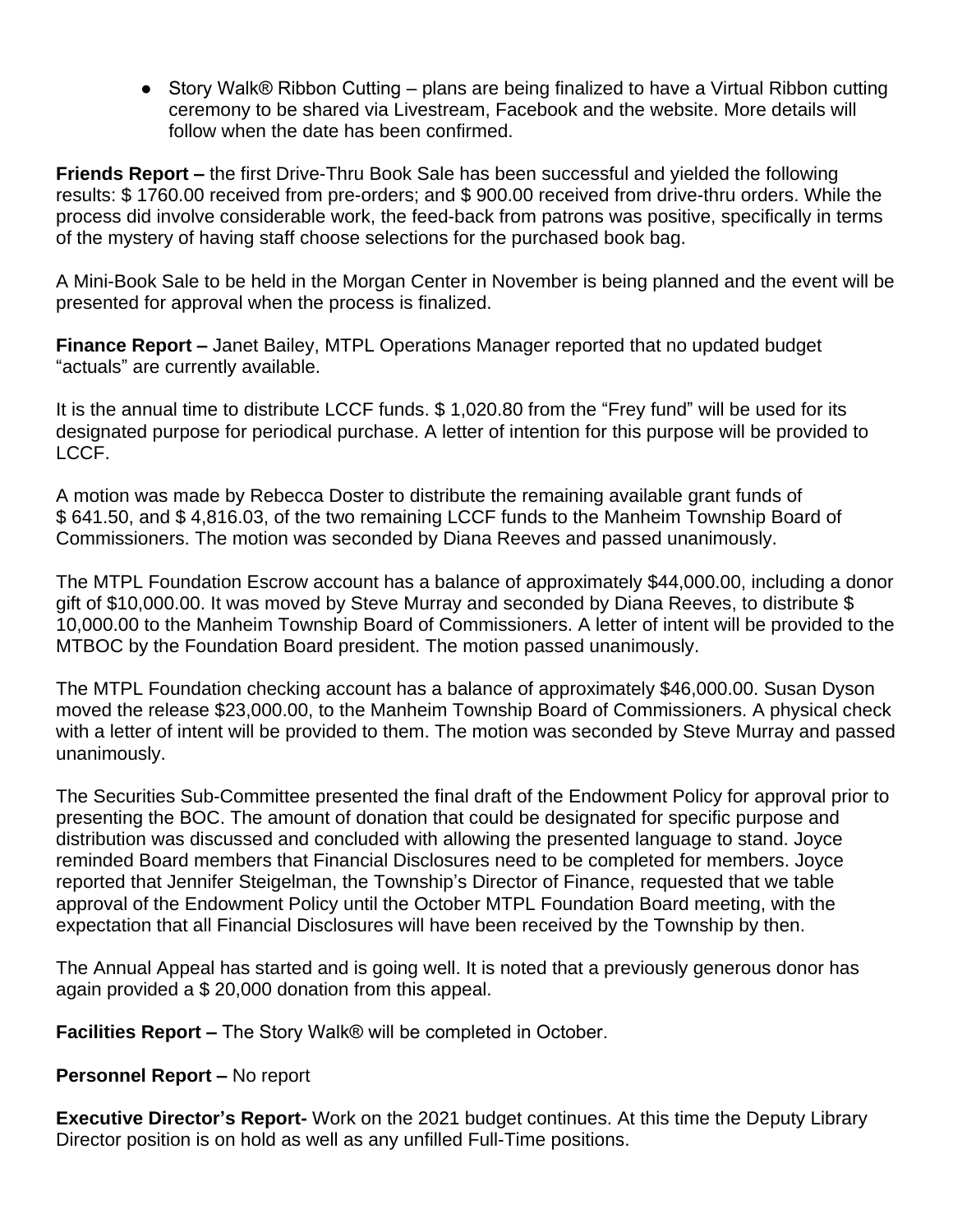● Story Walk® Ribbon Cutting – plans are being finalized to have a Virtual Ribbon cutting ceremony to be shared via Livestream, Facebook and the website. More details will follow when the date has been confirmed.

**Friends Report –** the first Drive-Thru Book Sale has been successful and yielded the following results: \$ 1760.00 received from pre-orders; and \$ 900.00 received from drive-thru orders. While the process did involve considerable work, the feed-back from patrons was positive, specifically in terms of the mystery of having staff choose selections for the purchased book bag.

A Mini-Book Sale to be held in the Morgan Center in November is being planned and the event will be presented for approval when the process is finalized.

**Finance Report –** Janet Bailey, MTPL Operations Manager reported that no updated budget "actuals" are currently available.

It is the annual time to distribute LCCF funds. \$ 1,020.80 from the "Frey fund" will be used for its designated purpose for periodical purchase. A letter of intention for this purpose will be provided to LCCF.

A motion was made by Rebecca Doster to distribute the remaining available grant funds of \$ 641.50, and \$ 4,816.03, of the two remaining LCCF funds to the Manheim Township Board of Commissioners. The motion was seconded by Diana Reeves and passed unanimously.

The MTPL Foundation Escrow account has a balance of approximately \$44,000.00, including a donor gift of \$10,000.00. It was moved by Steve Murray and seconded by Diana Reeves, to distribute \$ 10,000.00 to the Manheim Township Board of Commissioners. A letter of intent will be provided to the MTBOC by the Foundation Board president. The motion passed unanimously.

The MTPL Foundation checking account has a balance of approximately \$46,000.00. Susan Dyson moved the release \$23,000.00, to the Manheim Township Board of Commissioners. A physical check with a letter of intent will be provided to them. The motion was seconded by Steve Murray and passed unanimously.

The Securities Sub-Committee presented the final draft of the Endowment Policy for approval prior to presenting the BOC. The amount of donation that could be designated for specific purpose and distribution was discussed and concluded with allowing the presented language to stand. Joyce reminded Board members that Financial Disclosures need to be completed for members. Joyce reported that Jennifer Steigelman, the Township's Director of Finance, requested that we table approval of the Endowment Policy until the October MTPL Foundation Board meeting, with the expectation that all Financial Disclosures will have been received by the Township by then.

The Annual Appeal has started and is going well. It is noted that a previously generous donor has again provided a \$ 20,000 donation from this appeal.

**Facilities Report –** The Story Walk® will be completed in October.

## **Personnel Report – No report**

**Executive Director's Report-** Work on the 2021 budget continues. At this time the Deputy Library Director position is on hold as well as any unfilled Full-Time positions.